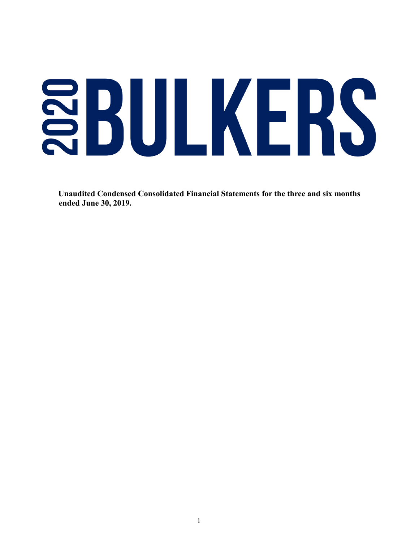# SBULKERS

 **Unaudited Condensed Consolidated Financial Statements for the three and six months ended June 30, 2019.**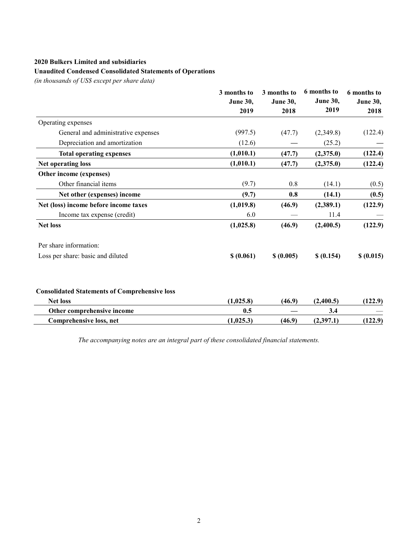#### **Unaudited Condensed Consolidated Statements of Operations**

*(in thousands of US\$ except per share data)*

|                                                      | 3 months to<br><b>June 30,</b> | 3 months to | 6 months to<br><b>June 30,</b><br><b>June 30,</b><br>2019<br>2018 | 6 months to<br><b>June 30,</b><br>2018 |
|------------------------------------------------------|--------------------------------|-------------|-------------------------------------------------------------------|----------------------------------------|
|                                                      |                                |             |                                                                   |                                        |
|                                                      | 2019                           |             |                                                                   |                                        |
| Operating expenses                                   |                                |             |                                                                   |                                        |
| General and administrative expenses                  | (997.5)                        | (47.7)      | (2,349.8)                                                         | (122.4)                                |
| Depreciation and amortization                        | (12.6)                         |             | (25.2)                                                            |                                        |
| <b>Total operating expenses</b>                      | (1,010.1)                      | (47.7)      | (2,375.0)                                                         | (122.4)                                |
| Net operating loss                                   | (1,010.1)                      | (47.7)      | (2,375.0)                                                         | (122.4)                                |
| Other income (expenses)                              |                                |             |                                                                   |                                        |
| Other financial items                                | (9.7)                          | 0.8         | (14.1)                                                            | (0.5)                                  |
| Net other (expenses) income                          | (9.7)                          | 0.8         | (14.1)                                                            | (0.5)                                  |
| Net (loss) income before income taxes                | (1,019.8)                      | (46.9)      | (2,389.1)                                                         | (122.9)                                |
| Income tax expense (credit)                          | 6.0                            |             | 11.4                                                              |                                        |
| <b>Net loss</b>                                      | (1,025.8)                      | (46.9)      | (2,400.5)                                                         | (122.9)                                |
| Per share information:                               |                                |             |                                                                   |                                        |
| Loss per share: basic and diluted                    | \$(0.061)                      | \$ (0.005)  | \$ (0.154)                                                        | \$ (0.015)                             |
| <b>Consolidated Statements of Comprehensive loss</b> |                                |             |                                                                   |                                        |
| <b>Net loss</b>                                      | (1,025.8)                      | (46.9)      | (2,400.5)                                                         | (122.9)                                |
| Other comprehensive income                           | 0.5                            |             | 3.4                                                               |                                        |
| Comprehensive loss, net                              | (1,025.3)                      | (46.9)      | (2,397.1)                                                         | (122.9)                                |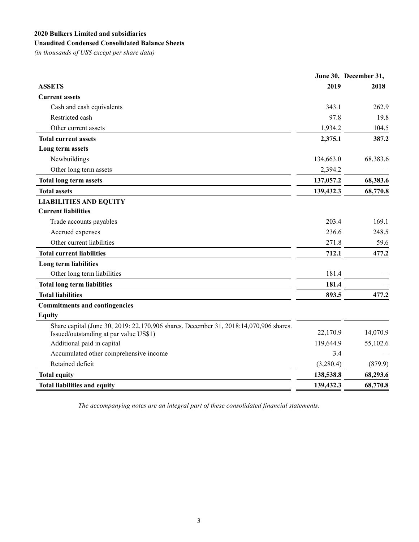# **Unaudited Condensed Consolidated Balance Sheets**

*(in thousands of US\$ except per share data)*

|                                                                                                                                 |           | June 30, December 31, |
|---------------------------------------------------------------------------------------------------------------------------------|-----------|-----------------------|
| <b>ASSETS</b>                                                                                                                   | 2019      | 2018                  |
| <b>Current assets</b>                                                                                                           |           |                       |
| Cash and cash equivalents                                                                                                       | 343.1     | 262.9                 |
| Restricted cash                                                                                                                 | 97.8      | 19.8                  |
| Other current assets                                                                                                            | 1,934.2   | 104.5                 |
| <b>Total current assets</b>                                                                                                     | 2,375.1   | 387.2                 |
| Long term assets                                                                                                                |           |                       |
| Newbuildings                                                                                                                    | 134,663.0 | 68,383.6              |
| Other long term assets                                                                                                          | 2,394.2   |                       |
| <b>Total long term assets</b>                                                                                                   | 137,057.2 | 68,383.6              |
| <b>Total assets</b>                                                                                                             | 139,432.3 | 68,770.8              |
| <b>LIABILITIES AND EQUITY</b>                                                                                                   |           |                       |
| <b>Current liabilities</b>                                                                                                      |           |                       |
| Trade accounts payables                                                                                                         | 203.4     | 169.1                 |
| Accrued expenses                                                                                                                | 236.6     | 248.5                 |
| Other current liabilities                                                                                                       | 271.8     | 59.6                  |
| <b>Total current liabilities</b>                                                                                                | 712.1     | 477.2                 |
| Long term liabilities                                                                                                           |           |                       |
| Other long term liabilities                                                                                                     | 181.4     |                       |
| <b>Total long term liabilities</b>                                                                                              | 181.4     |                       |
| <b>Total liabilities</b>                                                                                                        | 893.5     | 477.2                 |
| <b>Commitments and contingencies</b>                                                                                            |           |                       |
| <b>Equity</b>                                                                                                                   |           |                       |
| Share capital (June 30, 2019: 22,170,906 shares. December 31, 2018:14,070,906 shares.<br>Issued/outstanding at par value US\$1) | 22,170.9  | 14,070.9              |
| Additional paid in capital                                                                                                      | 119,644.9 | 55,102.6              |
| Accumulated other comprehensive income                                                                                          | 3.4       |                       |
| Retained deficit                                                                                                                | (3,280.4) | (879.9)               |
| <b>Total equity</b>                                                                                                             | 138,538.8 | 68,293.6              |
| <b>Total liabilities and equity</b>                                                                                             | 139,432.3 | 68,770.8              |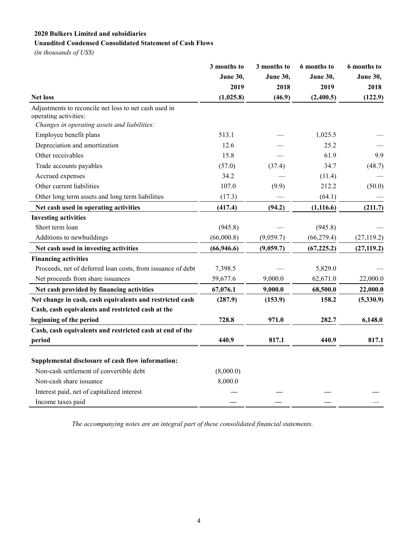## **Unaudited Condensed Consolidated Statement of Cash Flows**

*(in thousands of US\$)*

|                                                                                | 3 months to     | 3 months to | 6 months to     | 6 months to     |
|--------------------------------------------------------------------------------|-----------------|-------------|-----------------|-----------------|
|                                                                                | <b>June 30,</b> | June 30,    | <b>June 30,</b> | <b>June 30,</b> |
|                                                                                | 2019            | 2018        | 2019            | 2018            |
| <b>Net loss</b>                                                                | (1,025.8)       | (46.9)      | (2,400.5)       | (122.9)         |
| Adjustments to reconcile net loss to net cash used in<br>operating activities: |                 |             |                 |                 |
| Changes in operating assets and liabilities:                                   |                 |             |                 |                 |
| Employee benefit plans                                                         | 513.1           |             | 1,025.5         |                 |
| Depreciation and amortization                                                  | 12.6            |             | 25.2            |                 |
| Other receivables                                                              | 15.8            |             | 61.9            | 9.9             |
| Trade accounts payables                                                        | (57.0)          | (37.4)      | 34.7            | (48.7)          |
| Accrued expenses                                                               | 34.2            |             | (11.4)          |                 |
| Other current liabilities                                                      | 107.0           | (9.9)       | 212.2           | (50.0)          |
| Other long term assets and long term liabilities                               | (17.3)          |             | (64.1)          |                 |
| Net cash used in operating activities                                          | (417.4)         | (94.2)      | (1, 116.6)      | (211.7)         |
| <b>Investing activities</b>                                                    |                 |             |                 |                 |
| Short term loan                                                                | (945.8)         |             | (945.8)         |                 |
| Additions to newbuildings                                                      | (66,000.8)      | (9,059.7)   | (66, 279.4)     | (27, 119.2)     |
| Net cash used in investing activities                                          | (66, 946.6)     | (9,059.7)   | (67, 225.2)     | (27, 119.2)     |
| <b>Financing activities</b>                                                    |                 |             |                 |                 |
| Proceeds, net of deferred loan costs, from issuance of debt                    | 7,398.5         |             | 5,829.0         |                 |
| Net proceeds from share issuances                                              | 59,677.6        | 9,000.0     | 62,671.0        | 22,000.0        |
| Net cash provided by financing activities                                      | 67,076.1        | 9,000.0     | 68,500.0        | 22,000.0        |
| Net change in cash, cash equivalents and restricted cash                       | (287.9)         | (153.9)     | 158.2           | (5,330.9)       |
| Cash, cash equivalents and restricted cash at the                              |                 |             |                 |                 |
| beginning of the period                                                        | 728.8           | 971.0       | 282.7           | 6,148.0         |
| Cash, cash equivalents and restricted cash at end of the                       |                 |             |                 |                 |
| period                                                                         | 440.9           | 817.1       | 440.9           | 817.1           |
|                                                                                |                 |             |                 |                 |
| Supplemental disclosure of cash flow information:                              |                 |             |                 |                 |
| Non-cash settlement of convertible debt                                        | (8,000.0)       |             |                 |                 |
| Non-cash share issuance                                                        | 8,000.0         |             |                 |                 |
| Interest paid, net of capitalized interest                                     |                 |             |                 |                 |
| Income taxes paid                                                              |                 |             |                 |                 |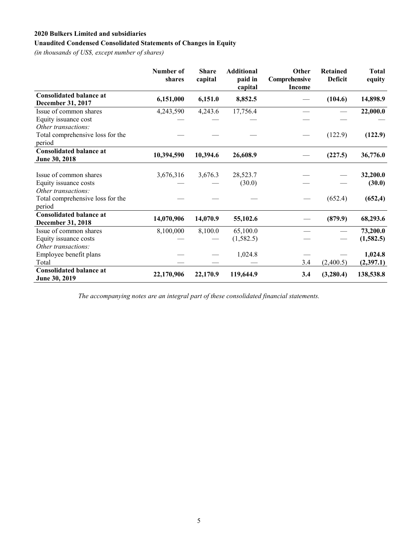# **Unaudited Condensed Consolidated Statements of Changes in Equity**

*(in thousands of US\$, except number of shares)*

|                                                     | Number of<br>shares | <b>Share</b><br>capital | <b>Additional</b><br>paid in<br>capital | Other<br>Comprehensive<br><b>Income</b> | <b>Retained</b><br><b>Deficit</b> | <b>Total</b><br>equity |
|-----------------------------------------------------|---------------------|-------------------------|-----------------------------------------|-----------------------------------------|-----------------------------------|------------------------|
| <b>Consolidated balance at</b><br>December 31, 2017 | 6,151,000           | 6,151.0                 | 8,852.5                                 |                                         | (104.6)                           | 14,898.9               |
| Issue of common shares                              | 4,243,590           | 4,243.6                 | 17,756.4                                |                                         |                                   | 22,000.0               |
| Equity issuance cost                                |                     |                         |                                         |                                         |                                   |                        |
| Other transactions:                                 |                     |                         |                                         |                                         |                                   |                        |
| Total comprehensive loss for the<br>period          |                     |                         |                                         |                                         | (122.9)                           | (122.9)                |
| <b>Consolidated balance at</b><br>June 30, 2018     | 10,394,590          | 10,394.6                | 26,608.9                                |                                         | (227.5)                           | 36,776.0               |
|                                                     |                     |                         |                                         |                                         |                                   |                        |
| Issue of common shares                              | 3,676,316           | 3,676.3                 | 28,523.7                                |                                         |                                   | 32,200.0               |
| Equity issuance costs                               |                     |                         | (30.0)                                  |                                         |                                   | (30.0)                 |
| Other transactions:                                 |                     |                         |                                         |                                         |                                   |                        |
| Total comprehensive loss for the<br>period          |                     |                         |                                         |                                         | (652.4)                           | (652, 4)               |
| <b>Consolidated balance at</b>                      |                     |                         |                                         |                                         |                                   |                        |
| <b>December 31, 2018</b>                            | 14,070,906          | 14,070.9                | 55,102.6                                |                                         | (879.9)                           | 68,293.6               |
| Issue of common shares                              | 8,100,000           | 8,100.0                 | 65,100.0                                |                                         |                                   | 73,200.0               |
| Equity issuance costs                               |                     |                         | (1, 582.5)                              |                                         |                                   | (1,582.5)              |
| Other transactions:                                 |                     |                         |                                         |                                         |                                   |                        |
| Employee benefit plans                              |                     |                         | 1,024.8                                 |                                         |                                   | 1,024.8                |
| Total                                               |                     |                         |                                         | 3.4                                     | (2,400.5)                         | (2,397.1)              |
| <b>Consolidated balance at</b><br>June 30, 2019     | 22,170,906          | 22,170.9                | 119,644.9                               | 3.4                                     | (3,280.4)                         | 138,538.8              |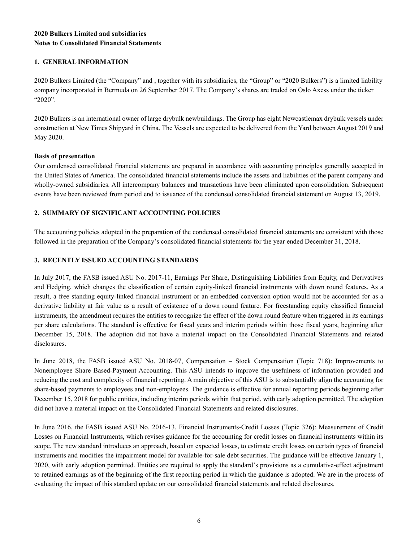## **2020 Bulkers Limited and subsidiaries Notes to Consolidated Financial Statements**

## **1. GENERAL INFORMATION**

2020 Bulkers Limited (the "Company" and , together with its subsidiaries, the "Group" or "2020 Bulkers") is a limited liability company incorporated in Bermuda on 26 September 2017. The Company's shares are traded on Oslo Axess under the ticker "2020".

2020 Bulkers is an international owner of large drybulk newbuildings. The Group has eight Newcastlemax drybulk vessels under construction at New Times Shipyard in China. The Vessels are expected to be delivered from the Yard between August 2019 and May 2020.

## **Basis of presentation**

Our condensed consolidated financial statements are prepared in accordance with accounting principles generally accepted in the United States of America. The consolidated financial statements include the assets and liabilities of the parent company and wholly-owned subsidiaries. All intercompany balances and transactions have been eliminated upon consolidation. Subsequent events have been reviewed from period end to issuance of the condensed consolidated financial statement on August 13, 2019.

## **2. SUMMARY OF SIGNIFICANT ACCOUNTING POLICIES**

The accounting policies adopted in the preparation of the condensed consolidated financial statements are consistent with those followed in the preparation of the Company's consolidated financial statements for the year ended December 31, 2018.

## **3. RECENTLY ISSUED ACCOUNTING STANDARDS**

In July 2017, the FASB issued ASU No. 2017-11, Earnings Per Share, Distinguishing Liabilities from Equity, and Derivatives and Hedging, which changes the classification of certain equity-linked financial instruments with down round features. As a result, a free standing equity-linked financial instrument or an embedded conversion option would not be accounted for as a derivative liability at fair value as a result of existence of a down round feature. For freestanding equity classified financial instruments, the amendment requires the entities to recognize the effect of the down round feature when triggered in its earnings per share calculations. The standard is effective for fiscal years and interim periods within those fiscal years, beginning after December 15, 2018. The adoption did not have a material impact on the Consolidated Financial Statements and related disclosures.

In June 2018, the FASB issued ASU No. 2018-07, Compensation – Stock Compensation (Topic 718): Improvements to Nonemployee Share Based-Payment Accounting. This ASU intends to improve the usefulness of information provided and reducing the cost and complexity of financial reporting. A main objective of this ASU is to substantially align the accounting for share-based payments to employees and non-employees. The guidance is effective for annual reporting periods beginning after December 15, 2018 for public entities, including interim periods within that period, with early adoption permitted. The adoption did not have a material impact on the Consolidated Financial Statements and related disclosures.

In June 2016, the FASB issued ASU No. 2016-13, Financial Instruments-Credit Losses (Topic 326): Measurement of Credit Losses on Financial Instruments, which revises guidance for the accounting for credit losses on financial instruments within its scope. The new standard introduces an approach, based on expected losses, to estimate credit losses on certain types of financial instruments and modifies the impairment model for available-for-sale debt securities. The guidance will be effective January 1, 2020, with early adoption permitted. Entities are required to apply the standard's provisions as a cumulative-effect adjustment to retained earnings as of the beginning of the first reporting period in which the guidance is adopted. We are in the process of evaluating the impact of this standard update on our consolidated financial statements and related disclosures.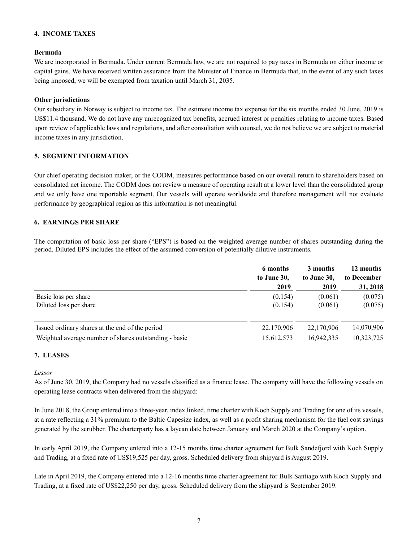## **4. INCOME TAXES**

#### **Bermuda**

We are incorporated in Bermuda. Under current Bermuda law, we are not required to pay taxes in Bermuda on either income or capital gains. We have received written assurance from the Minister of Finance in Bermuda that, in the event of any such taxes being imposed, we will be exempted from taxation until March 31, 2035.

#### **Other jurisdictions**

Our subsidiary in Norway is subject to income tax. The estimate income tax expense for the six months ended 30 June, 2019 is US\$11.4 thousand. We do not have any unrecognized tax benefits, accrued interest or penalties relating to income taxes. Based upon review of applicable laws and regulations, and after consultation with counsel, we do not believe we are subject to material income taxes in any jurisdiction.

## **5. SEGMENT INFORMATION**

Our chief operating decision maker, or the CODM, measures performance based on our overall return to shareholders based on consolidated net income. The CODM does not review a measure of operating result at a lower level than the consolidated group and we only have one reportable segment. Our vessels will operate worldwide and therefore management will not evaluate performance by geographical region as this information is not meaningful.

## **6. EARNINGS PER SHARE**

The computation of basic loss per share ("EPS") is based on the weighted average number of shares outstanding during the period. Diluted EPS includes the effect of the assumed conversion of potentially dilutive instruments.

|                                                       | 6 months    | 3 months    | 12 months   |
|-------------------------------------------------------|-------------|-------------|-------------|
|                                                       | to June 30, | to June 30, | to December |
|                                                       | 2019        | 2019        | 31, 2018    |
| Basic loss per share                                  | (0.154)     | (0.061)     | (0.075)     |
| Diluted loss per share                                | (0.154)     | (0.061)     | (0.075)     |
| Issued ordinary shares at the end of the period       | 22,170,906  | 22,170,906  | 14,070,906  |
| Weighted average number of shares outstanding - basic | 15,612,573  | 16,942,335  | 10,323,725  |

#### **7. LEASES**

#### *Lessor*

As of June 30, 2019, the Company had no vessels classified as a finance lease. The company will have the following vessels on operating lease contracts when delivered from the shipyard:

In June 2018, the Group entered into a three-year, index linked, time charter with Koch Supply and Trading for one of its vessels, at a rate reflecting a 31% premium to the Baltic Capesize index, as well as a profit sharing mechanism for the fuel cost savings generated by the scrubber. The charterparty has a laycan date between January and March 2020 at the Company's option.

In early April 2019, the Company entered into a 12-15 months time charter agreement for Bulk Sandefjord with Koch Supply and Trading, at a fixed rate of US\$19,525 per day, gross. Scheduled delivery from shipyard is August 2019.

Late in April 2019, the Company entered into a 12-16 months time charter agreement for Bulk Santiago with Koch Supply and Trading, at a fixed rate of US\$22,250 per day, gross. Scheduled delivery from the shipyard is September 2019.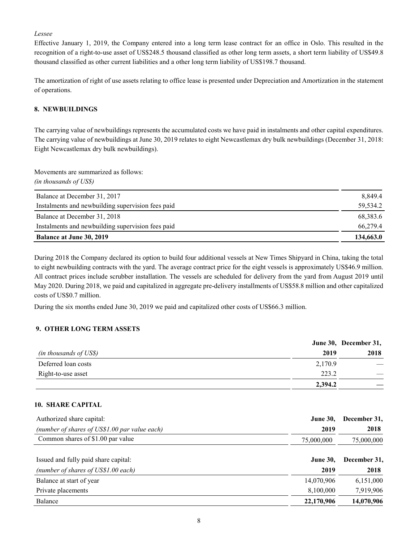*Lessee*

Effective January 1, 2019, the Company entered into a long term lease contract for an office in Oslo. This resulted in the recognition of a right-to-use asset of US\$248.5 thousand classified as other long term assets, a short term liability of US\$49.8 thousand classified as other current liabilities and a other long term liability of US\$198.7 thousand.

The amortization of right of use assets relating to office lease is presented under Depreciation and Amortization in the statement of operations.

## **8. NEWBUILDINGS**

The carrying value of newbuildings represents the accumulated costs we have paid in instalments and other capital expenditures. The carrying value of newbuildings at June 30, 2019 relates to eight Newcastlemax dry bulk newbuildings (December 31, 2018: Eight Newcastlemax dry bulk newbuildings).

Movements are summarized as follows: *(in thousands of US\$)*

| Balance at December 31, 2017                      | 8,849.4   |
|---------------------------------------------------|-----------|
| Instalments and newbuilding supervision fees paid | 59.534.2  |
| Balance at December 31, 2018                      | 68,383.6  |
| Instalments and newbuilding supervision fees paid | 66,279.4  |
| <b>Balance at June 30, 2019</b>                   | 134,663.0 |

During 2018 the Company declared its option to build four additional vessels at New Times Shipyard in China, taking the total to eight newbuilding contracts with the yard. The average contract price for the eight vessels is approximately US\$46.9 million. All contract prices include scrubber installation. The vessels are scheduled for delivery from the yard from August 2019 until May 2020. During 2018, we paid and capitalized in aggregate pre-delivery installments of US\$58.8 million and other capitalized costs of US\$0.7 million.

During the six months ended June 30, 2019 we paid and capitalized other costs of US\$66.3 million.

#### **9. OTHER LONG TERM ASSETS**

|                        |         | June 30, December 31, |
|------------------------|---------|-----------------------|
| (in thousands of US\$) | 2019    | 2018                  |
| Deferred loan costs    | 2,170.9 |                       |
| Right-to-use asset     | 223.2   |                       |
|                        | 2,394.2 |                       |

#### **10. SHARE CAPITAL**

| Authorized share capital:                     | <b>June 30,</b> | December 31, |
|-----------------------------------------------|-----------------|--------------|
| (number of shares of US\$1.00 par value each) | 2019            | 2018         |
| Common shares of \$1.00 par value             | 75,000,000      | 75,000,000   |
| Issued and fully paid share capital:          | <b>June 30,</b> | December 31, |
| (number of shares of US\$1.00 each)           | 2019            | 2018         |
| Balance at start of year                      | 14,070,906      | 6,151,000    |
| Private placements                            | 8,100,000       | 7,919,906    |
| Balance                                       | 22,170,906      | 14,070,906   |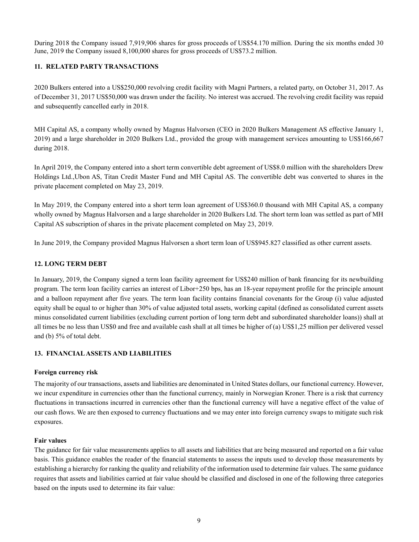During 2018 the Company issued 7,919,906 shares for gross proceeds of US\$54.170 million. During the six months ended 30 June, 2019 the Company issued 8,100,000 shares for gross proceeds of US\$73.2 million.

#### **11. RELATED PARTY TRANSACTIONS**

2020 Bulkers entered into a US\$250,000 revolving credit facility with Magni Partners, a related party, on October 31, 2017. As of December 31, 2017 US\$50,000 was drawn under the facility. No interest was accrued. The revolving credit facility was repaid and subsequently cancelled early in 2018.

MH Capital AS, a company wholly owned by Magnus Halvorsen (CEO in 2020 Bulkers Management AS effective January 1, 2019) and a large shareholder in 2020 Bulkers Ltd., provided the group with management services amounting to US\$166,667 during 2018.

In April 2019, the Company entered into a short term convertible debt agreement of US\$8.0 million with the shareholders Drew Holdings Ltd.,Ubon AS, Titan Credit Master Fund and MH Capital AS. The convertible debt was converted to shares in the private placement completed on May 23, 2019.

In May 2019, the Company entered into a short term loan agreement of US\$360.0 thousand with MH Capital AS, a company wholly owned by Magnus Halvorsen and a large shareholder in 2020 Bulkers Ltd. The short term loan was settled as part of MH Capital AS subscription of shares in the private placement completed on May 23, 2019.

In June 2019, the Company provided Magnus Halvorsen a short term loan of US\$945.827 classified as other current assets.

## **12. LONG TERM DEBT**

In January, 2019, the Company signed a term loan facility agreement for US\$240 million of bank financing for its newbuilding program. The term loan facility carries an interest of Libor+250 bps, has an 18-year repayment profile for the principle amount and a balloon repayment after five years. The term loan facility contains financial covenants for the Group (i) value adjusted equity shall be equal to or higher than 30% of value adjusted total assets, working capital (defined as consolidated current assets minus consolidated current liabilities (excluding current portion of long term debt and subordinated shareholder loans)) shall at all times be no less than US\$0 and free and available cash shall at all times be higher of (a) US\$1,25 million per delivered vessel and (b) 5% of total debt.

#### **13. FINANCIAL ASSETS AND LIABILITIES**

#### **Foreign currency risk**

The majority of our transactions, assets and liabilities are denominated in United States dollars, our functional currency. However, we incur expenditure in currencies other than the functional currency, mainly in Norwegian Kroner. There is a risk that currency fluctuations in transactions incurred in currencies other than the functional currency will have a negative effect of the value of our cash flows. We are then exposed to currency fluctuations and we may enter into foreign currency swaps to mitigate such risk exposures.

#### **Fair values**

The guidance for fair value measurements applies to all assets and liabilities that are being measured and reported on a fair value basis. This guidance enables the reader of the financial statements to assess the inputs used to develop those measurements by establishing a hierarchy for ranking the quality and reliability of the information used to determine fair values. The same guidance requires that assets and liabilities carried at fair value should be classified and disclosed in one of the following three categories based on the inputs used to determine its fair value: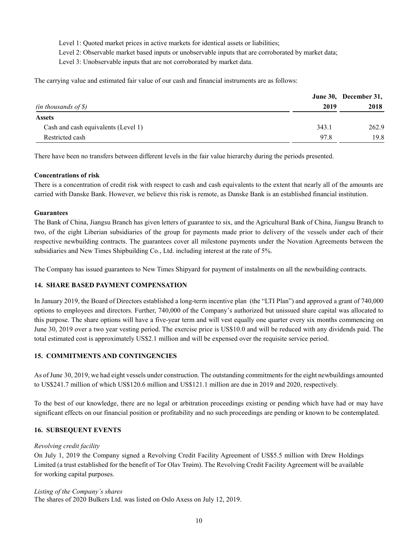Level 1: Quoted market prices in active markets for identical assets or liabilities;

Level 2: Observable market based inputs or unobservable inputs that are corroborated by market data;

Level 3: Unobservable inputs that are not corroborated by market data.

The carrying value and estimated fair value of our cash and financial instruments are as follows:

|                                     |       | June 30, December 31, |
|-------------------------------------|-------|-----------------------|
| (in thousands of $\mathcal S$ )     | 2019  | 2018                  |
| <b>Assets</b>                       |       |                       |
| Cash and cash equivalents (Level 1) | 343.1 | 262.9                 |
| Restricted cash                     | 97.8  | 19.8                  |

There have been no transfers between different levels in the fair value hierarchy during the periods presented.

## **Concentrations of risk**

There is a concentration of credit risk with respect to cash and cash equivalents to the extent that nearly all of the amounts are carried with Danske Bank. However, we believe this risk is remote, as Danske Bank is an established financial institution.

## **Guarantees**

The Bank of China, Jiangsu Branch has given letters of guarantee to six, and the Agricultural Bank of China, Jiangsu Branch to two, of the eight Liberian subsidiaries of the group for payments made prior to delivery of the vessels under each of their respective newbuilding contracts. The guarantees cover all milestone payments under the Novation Agreements between the subsidiaries and New Times Shipbuilding Co., Ltd. including interest at the rate of 5%.

The Company has issued guarantees to New Times Shipyard for payment of instalments on all the newbuilding contracts.

## **14. SHARE BASED PAYMENT COMPENSATION**

In January 2019, the Board of Directors established a long-term incentive plan (the "LTI Plan") and approved a grant of 740,000 options to employees and directors. Further, 740,000 of the Company's authorized but unissued share capital was allocated to this purpose. The share options will have a five-year term and will vest equally one quarter every six months commencing on June 30, 2019 over a two year vesting period. The exercise price is US\$10.0 and will be reduced with any dividends paid. The total estimated cost is approximately US\$2.1 million and will be expensed over the requisite service period.

## **15. COMMITMENTS AND CONTINGENCIES**

As of June 30, 2019, we had eight vessels under construction. The outstanding commitments for the eight newbuildings amounted to US\$241.7 million of which US\$120.6 million and US\$121.1 million are due in 2019 and 2020, respectively.

To the best of our knowledge, there are no legal or arbitration proceedings existing or pending which have had or may have significant effects on our financial position or profitability and no such proceedings are pending or known to be contemplated.

## **16. SUBSEQUENT EVENTS**

#### *Revolving credit facility*

On July 1, 2019 the Company signed a Revolving Credit Facility Agreement of US\$5.5 million with Drew Holdings Limited (a trust established for the benefit of Tor Olav Trøim). The Revolving Credit Facility Agreement will be available for working capital purposes.

#### *Listing of the Company's shares*

The shares of 2020 Bulkers Ltd. was listed on Oslo Axess on July 12, 2019.